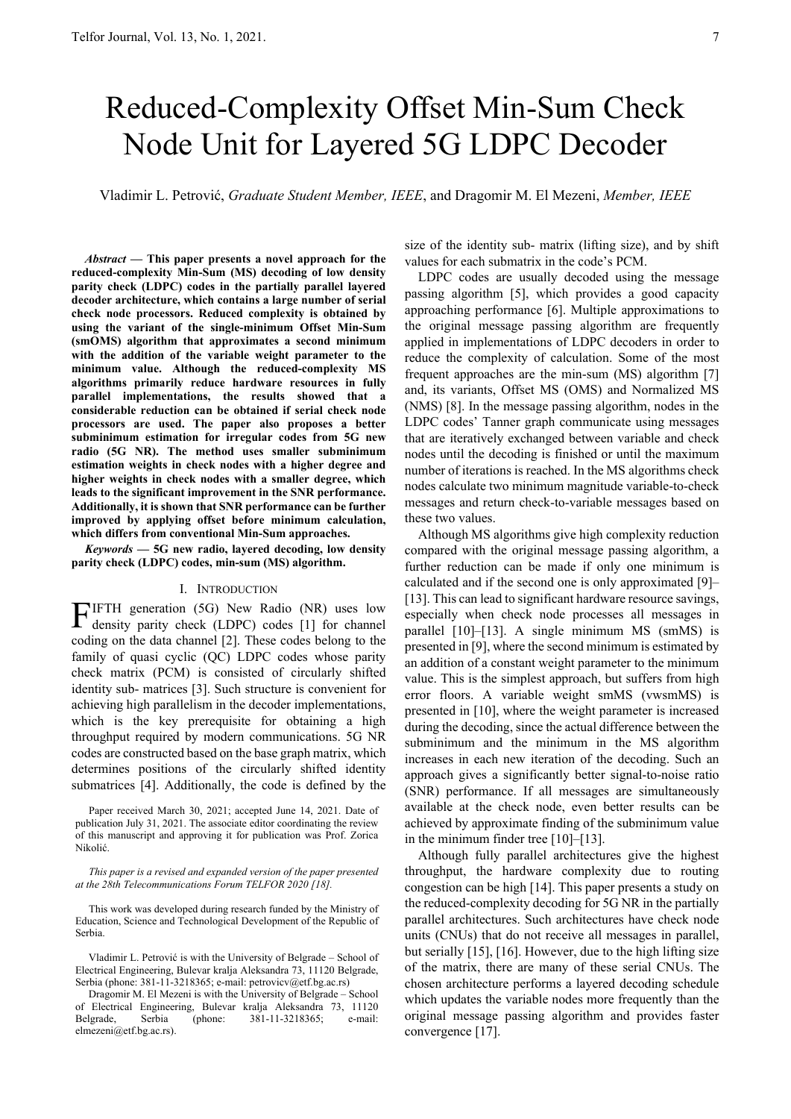# Reduced-Complexity Offset Min-Sum Check Node Unit for Layered 5G LDPC Decoder

Vladimir L. Petrović, *Graduate Student Member, IEEE*, and Dragomir M. El Mezeni, *Member, IEEE*

*Abstract* **— This paper presents a novel approach for the reduced-complexity Min-Sum (MS) decoding of low density parity check (LDPC) codes in the partially parallel layered decoder architecture, which contains a large number of serial check node processors. Reduced complexity is obtained by using the variant of the single-minimum Offset Min-Sum (smOMS) algorithm that approximates a second minimum with the addition of the variable weight parameter to the minimum value. Although the reduced-complexity MS algorithms primarily reduce hardware resources in fully parallel implementations, the results showed that a considerable reduction can be obtained if serial check node processors are used. The paper also proposes a better subminimum estimation for irregular codes from 5G new radio (5G NR). The method uses smaller subminimum estimation weights in check nodes with a higher degree and higher weights in check nodes with a smaller degree, which leads to the significant improvement in the SNR performance. Additionally, it is shown that SNR performance can be further improved by applying offset before minimum calculation, which differs from conventional Min-Sum approaches.** 

*Keywords* **— 5G new radio, layered decoding, low density parity check (LDPC) codes, min-sum (MS) algorithm.** 

#### I. INTRODUCTION

IFTH generation (5G) New Radio (NR) uses low FIFTH generation (5G) New Radio (NR) uses low<br>density parity check (LDPC) codes [1] for channel coding on the data channel [2]. These codes belong to the family of quasi cyclic (QC) LDPC codes whose parity check matrix (PCM) is consisted of circularly shifted identity sub- matrices [3]. Such structure is convenient for achieving high parallelism in the decoder implementations, which is the key prerequisite for obtaining a high throughput required by modern communications. 5G NR codes are constructed based on the base graph matrix, which determines positions of the circularly shifted identity submatrices [4]. Additionally, the code is defined by the

Paper received March 30, 2021; accepted June 14, 2021. Date of publication July 31, 2021. The associate editor coordinating the review of this manuscript and approving it for publication was Prof. Zorica Nikolić.

*This paper is a revised and expanded version of the paper presented at the 28th Telecommunications Forum TELFOR 2020 [18].* 

This work was developed during research funded by the Ministry of Education, Science and Technological Development of the Republic of Serbia.

Vladimir L. Petrović is with the University of Belgrade – School of Electrical Engineering, Bulevar kralja Aleksandra 73, 11120 Belgrade, Serbia (phone: 381-11-3218365; e-mail: petrovicv@etf.bg.ac.rs)

Dragomir M. El Mezeni is with the University of Belgrade – School of Electrical Engineering, Bulevar kralja Aleksandra 73, 11120 Belgrade, Serbia (phone: 381-11-3218365; e-mail: elmezeni@etf.bg.ac.rs).

size of the identity sub- matrix (lifting size), and by shift values for each submatrix in the code's PCM.

LDPC codes are usually decoded using the message passing algorithm [5], which provides a good capacity approaching performance [6]. Multiple approximations to the original message passing algorithm are frequently applied in implementations of LDPC decoders in order to reduce the complexity of calculation. Some of the most frequent approaches are the min-sum (MS) algorithm [7] and, its variants, Offset MS (OMS) and Normalized MS (NMS) [8]. In the message passing algorithm, nodes in the LDPC codes' Tanner graph communicate using messages that are iteratively exchanged between variable and check nodes until the decoding is finished or until the maximum number of iterations is reached. In the MS algorithms check nodes calculate two minimum magnitude variable-to-check messages and return check-to-variable messages based on these two values.

Although MS algorithms give high complexity reduction compared with the original message passing algorithm, a further reduction can be made if only one minimum is calculated and if the second one is only approximated [9]– [13]. This can lead to significant hardware resource savings, especially when check node processes all messages in parallel [10]–[13]. A single minimum MS (smMS) is presented in [9], where the second minimum is estimated by an addition of a constant weight parameter to the minimum value. This is the simplest approach, but suffers from high error floors. A variable weight smMS (vwsmMS) is presented in [10], where the weight parameter is increased during the decoding, since the actual difference between the subminimum and the minimum in the MS algorithm increases in each new iteration of the decoding. Such an approach gives a significantly better signal-to-noise ratio (SNR) performance. If all messages are simultaneously available at the check node, even better results can be achieved by approximate finding of the subminimum value in the minimum finder tree [10]–[13].

Although fully parallel architectures give the highest throughput, the hardware complexity due to routing congestion can be high [14]. This paper presents a study on the reduced-complexity decoding for 5G NR in the partially parallel architectures. Such architectures have check node units (CNUs) that do not receive all messages in parallel, but serially [15], [16]. However, due to the high lifting size of the matrix, there are many of these serial CNUs. The chosen architecture performs a layered decoding schedule which updates the variable nodes more frequently than the original message passing algorithm and provides faster convergence [17].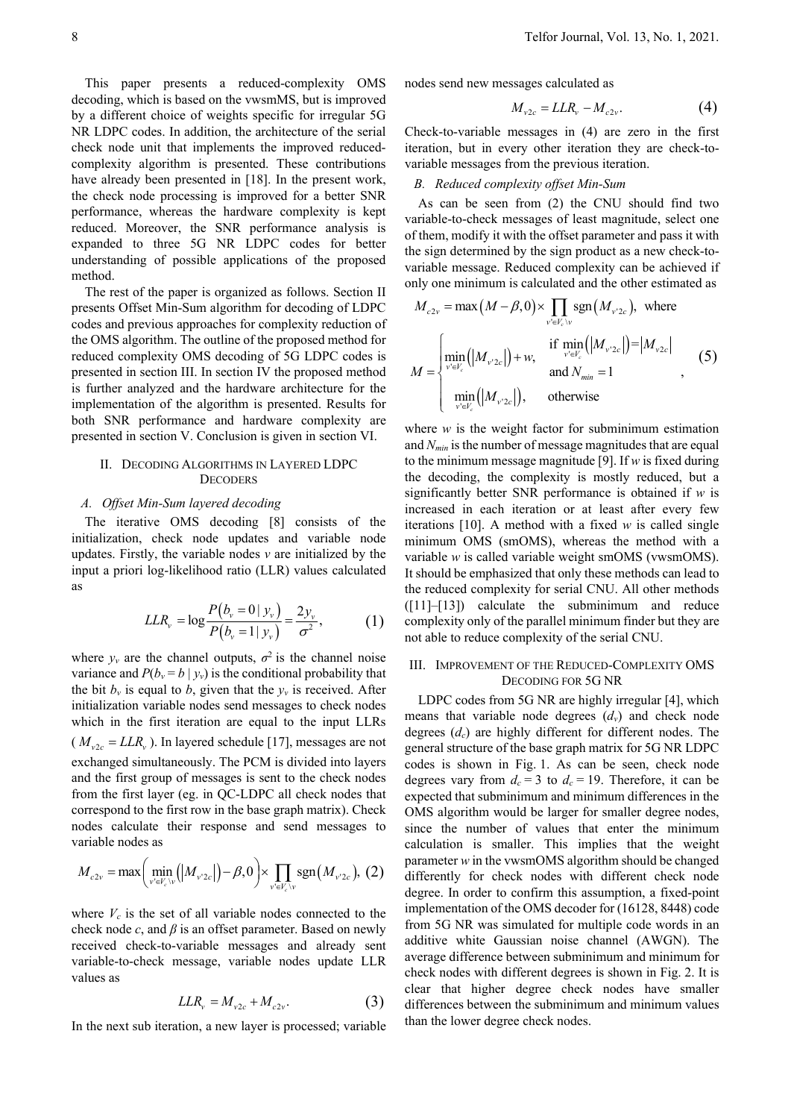This paper presents a reduced-complexity OMS decoding, which is based on the vwsmMS, but is improved by a different choice of weights specific for irregular 5G NR LDPC codes. In addition, the architecture of the serial check node unit that implements the improved reducedcomplexity algorithm is presented. These contributions have already been presented in [18]. In the present work, the check node processing is improved for a better SNR performance, whereas the hardware complexity is kept reduced. Moreover, the SNR performance analysis is expanded to three 5G NR LDPC codes for better understanding of possible applications of the proposed method.

The rest of the paper is organized as follows. Section II presents Offset Min-Sum algorithm for decoding of LDPC codes and previous approaches for complexity reduction of the OMS algorithm. The outline of the proposed method for reduced complexity OMS decoding of 5G LDPC codes is presented in section III. In section IV the proposed method is further analyzed and the hardware architecture for the implementation of the algorithm is presented. Results for both SNR performance and hardware complexity are presented in section V. Conclusion is given in section VI.

## II. DECODING ALGORITHMS IN LAYERED LDPC **DECODERS**

## *A. Offset Min-Sum layered decoding*

The iterative OMS decoding [8] consists of the initialization, check node updates and variable node updates. Firstly, the variable nodes *v* are initialized by the input a priori log-likelihood ratio (LLR) values calculated as

$$
LLR_{v} = \log \frac{P(b_{v} = 0 \mid y_{v})}{P(b_{v} = 1 \mid y_{v})} = \frac{2y_{v}}{\sigma^{2}},
$$
 (1)

where  $y_v$  are the channel outputs,  $\sigma^2$  is the channel noise variance and  $P(b_v = b \mid y_v)$  is the conditional probability that the bit  $b_v$  is equal to *b*, given that the  $y_v$  is received. After initialization variable nodes send messages to check nodes which in the first iteration are equal to the input LLRs ( $M_{\nu2c} = LLR_v$ ). In layered schedule [17], messages are not exchanged simultaneously. The PCM is divided into layers and the first group of messages is sent to the check nodes from the first layer (eg. in QC-LDPC all check nodes that correspond to the first row in the base graph matrix). Check nodes calculate their response and send messages to variable nodes as

$$
M_{c2v} = \max\left(\min_{v' \in V_c \setminus v} \left( |M_{v'2c}|\right) - \beta, 0 \right) \times \prod_{v' \in V_c \setminus v} \text{sgn}(M_{v'2c}), (2)
$$

where  $V_c$  is the set of all variable nodes connected to the check node  $c$ , and  $\beta$  is an offset parameter. Based on newly received check-to-variable messages and already sent variable-to-check message, variable nodes update LLR values as

$$
LLR_{v} = M_{v2c} + M_{c2v}.
$$
 (3)

In the next sub iteration, a new layer is processed; variable

nodes send new messages calculated as

$$
M_{\nu 2c} = LLR_{\nu} - M_{c2\nu}.\tag{4}
$$

Check-to-variable messages in (4) are zero in the first iteration, but in every other iteration they are check-tovariable messages from the previous iteration.

#### *B. Reduced complexity offset Min-Sum*

As can be seen from (2) the CNU should find two variable-to-check messages of least magnitude, select one of them, modify it with the offset parameter and pass it with the sign determined by the sign product as a new check-tovariable message. Reduced complexity can be achieved if only one minimum is calculated and the other estimated as

$$
M_{c2v} = \max(M - \beta, 0) \times \prod_{v' \in V_c \setminus v} \text{sgn}(M_{v'2c}), \text{ where}
$$
  

$$
M = \begin{cases} \min_{v' \in V_c} (|M_{v'2c}|) + w, & \text{if } \min_{v' \in V_c} (|M_{v'2c}|) = |M_{v2c}| \\ \min_{v' \in V_c} (|M_{v'2c}|), & \text{otherwise} \end{cases}
$$
(5)

where  $w$  is the weight factor for subminimum estimation and *Nmin* is the number of message magnitudes that are equal to the minimum message magnitude [9]. If *w* is fixed during the decoding, the complexity is mostly reduced, but a significantly better SNR performance is obtained if *w* is increased in each iteration or at least after every few iterations [10]. A method with a fixed *w* is called single minimum OMS (smOMS), whereas the method with a variable *w* is called variable weight smOMS (vwsmOMS). It should be emphasized that only these methods can lead to the reduced complexity for serial CNU. All other methods ([11]–[13]) calculate the subminimum and reduce complexity only of the parallel minimum finder but they are not able to reduce complexity of the serial CNU.

## III. IMPROVEMENT OF THE REDUCED-COMPLEXITY OMS DECODING FOR 5G NR

LDPC codes from 5G NR are highly irregular [4], which means that variable node degrees  $(d_v)$  and check node degrees (*dc*) are highly different for different nodes. The general structure of the base graph matrix for 5G NR LDPC codes is shown in Fig. 1. As can be seen, check node degrees vary from  $d_c = 3$  to  $d_c = 19$ . Therefore, it can be expected that subminimum and minimum differences in the OMS algorithm would be larger for smaller degree nodes, since the number of values that enter the minimum calculation is smaller. This implies that the weight parameter *w* in the vwsmOMS algorithm should be changed differently for check nodes with different check node degree. In order to confirm this assumption, a fixed-point implementation of the OMS decoder for (16128, 8448) code from 5G NR was simulated for multiple code words in an additive white Gaussian noise channel (AWGN). The average difference between subminimum and minimum for check nodes with different degrees is shown in Fig. 2. It is clear that higher degree check nodes have smaller differences between the subminimum and minimum values than the lower degree check nodes.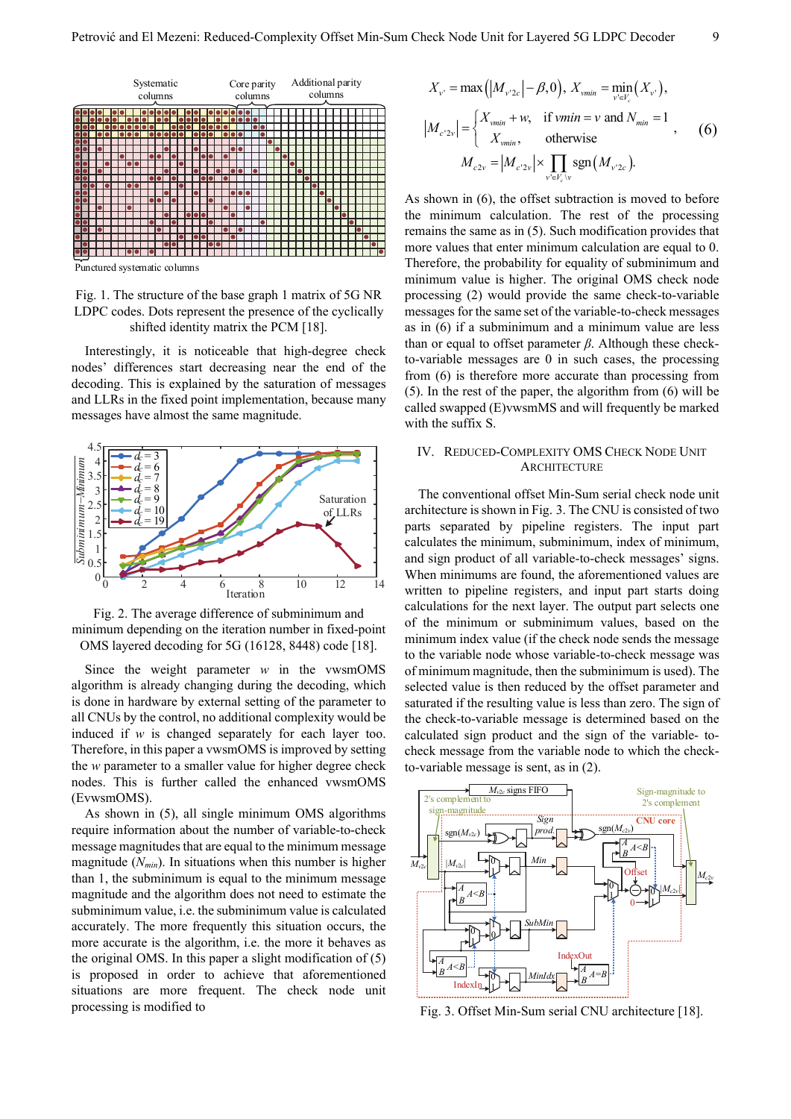

Punctured systematic columns

Fig. 1. The structure of the base graph 1 matrix of 5G NR LDPC codes. Dots represent the presence of the cyclically shifted identity matrix the PCM [18].

Interestingly, it is noticeable that high-degree check nodes' differences start decreasing near the end of the decoding. This is explained by the saturation of messages and LLRs in the fixed point implementation, because many messages have almost the same magnitude.



Fig. 2. The average difference of subminimum and minimum depending on the iteration number in fixed-point OMS layered decoding for 5G (16128, 8448) code [18].

Since the weight parameter *w* in the vwsmOMS algorithm is already changing during the decoding, which is done in hardware by external setting of the parameter to all CNUs by the control, no additional complexity would be induced if *w* is changed separately for each layer too. Therefore, in this paper a vwsmOMS is improved by setting the *w* parameter to a smaller value for higher degree check nodes. This is further called the enhanced vwsmOMS (EvwsmOMS).

As shown in (5), all single minimum OMS algorithms require information about the number of variable-to-check message magnitudes that are equal to the minimum message magnitude  $(N_{min})$ . In situations when this number is higher than 1, the subminimum is equal to the minimum message magnitude and the algorithm does not need to estimate the subminimum value, i.e. the subminimum value is calculated accurately. The more frequently this situation occurs, the more accurate is the algorithm, i.e. the more it behaves as the original OMS. In this paper a slight modification of (5) is proposed in order to achieve that aforementioned situations are more frequent. The check node unit processing is modified to

$$
X_{v'} = \max\left(|M_{v'2c}| - \beta, 0\right), X_{vmin} = \min_{v' \in V_c} (X_{v'}),
$$
  
\n
$$
|M_{c'2v}| = \begin{cases} X_{vmin} + w, & \text{if } vmin = v \text{ and } N_{min} = 1\\ X_{vmin}, & \text{otherwise} \end{cases}
$$
 (6)  
\n
$$
M_{c2v} = |M_{c'2v}| \times \prod_{v' \in V_c \setminus v} \text{sgn}(M_{v'2c}).
$$

As shown in (6), the offset subtraction is moved to before the minimum calculation. The rest of the processing remains the same as in (5). Such modification provides that more values that enter minimum calculation are equal to 0. Therefore, the probability for equality of subminimum and minimum value is higher. The original OMS check node processing (2) would provide the same check-to-variable messages for the same set of the variable-to-check messages as in (6) if a subminimum and a minimum value are less than or equal to offset parameter *β*. Although these checkto-variable messages are 0 in such cases, the processing from (6) is therefore more accurate than processing from (5). In the rest of the paper, the algorithm from (6) will be called swapped (E)vwsmMS and will frequently be marked with the suffix S.

## IV. REDUCED-COMPLEXITY OMS CHECK NODE UNIT **ARCHITECTURE**

The conventional offset Min-Sum serial check node unit architecture is shown in Fig. 3. The CNU is consisted of two parts separated by pipeline registers. The input part calculates the minimum, subminimum, index of minimum, and sign product of all variable-to-check messages' signs. When minimums are found, the aforementioned values are written to pipeline registers, and input part starts doing calculations for the next layer. The output part selects one of the minimum or subminimum values, based on the minimum index value (if the check node sends the message to the variable node whose variable-to-check message was of minimum magnitude, then the subminimum is used). The selected value is then reduced by the offset parameter and saturated if the resulting value is less than zero. The sign of the check-to-variable message is determined based on the calculated sign product and the sign of the variable- tocheck message from the variable node to which the checkto-variable message is sent, as in (2).



Fig. 3. Offset Min-Sum serial CNU architecture [18].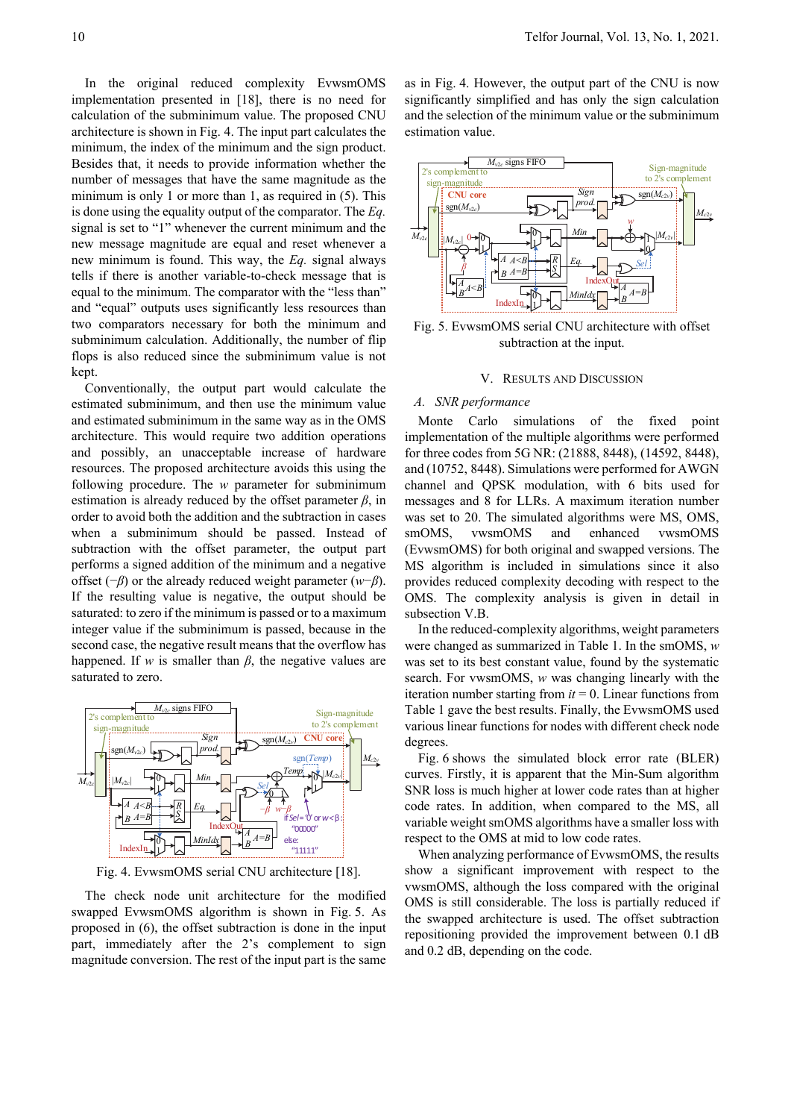In the original reduced complexity EvwsmOMS implementation presented in [18], there is no need for calculation of the subminimum value. The proposed CNU architecture is shown in Fig. 4. The input part calculates the minimum, the index of the minimum and the sign product. Besides that, it needs to provide information whether the number of messages that have the same magnitude as the minimum is only 1 or more than 1, as required in (5). This is done using the equality output of the comparator. The *Eq.* signal is set to "1" whenever the current minimum and the new message magnitude are equal and reset whenever a new minimum is found. This way, the *Eq.* signal always tells if there is another variable-to-check message that is equal to the minimum. The comparator with the "less than" and "equal" outputs uses significantly less resources than two comparators necessary for both the minimum and subminimum calculation. Additionally, the number of flip flops is also reduced since the subminimum value is not kept.

Conventionally, the output part would calculate the estimated subminimum, and then use the minimum value and estimated subminimum in the same way as in the OMS architecture. This would require two addition operations and possibly, an unacceptable increase of hardware resources. The proposed architecture avoids this using the following procedure. The *w* parameter for subminimum estimation is already reduced by the offset parameter  $\beta$ , in order to avoid both the addition and the subtraction in cases when a subminimum should be passed. Instead of subtraction with the offset parameter, the output part performs a signed addition of the minimum and a negative offset (−*β*) or the already reduced weight parameter (*w*−*β*). If the resulting value is negative, the output should be saturated: to zero if the minimum is passed or to a maximum integer value if the subminimum is passed, because in the second case, the negative result means that the overflow has happened. If *w* is smaller than  $\beta$ , the negative values are saturated to zero.



Fig. 4. EvwsmOMS serial CNU architecture [18].

The check node unit architecture for the modified swapped EvwsmOMS algorithm is shown in Fig. 5. As proposed in (6), the offset subtraction is done in the input part, immediately after the 2's complement to sign magnitude conversion. The rest of the input part is the same

as in Fig. 4. However, the output part of the CNU is now significantly simplified and has only the sign calculation and the selection of the minimum value or the subminimum estimation value.



Fig. 5. EvwsmOMS serial CNU architecture with offset subtraction at the input.

#### V. RESULTS AND DISCUSSION

#### *A. SNR performance*

Monte Carlo simulations of the fixed point implementation of the multiple algorithms were performed for three codes from 5G NR: (21888, 8448), (14592, 8448), and (10752, 8448). Simulations were performed for AWGN channel and QPSK modulation, with 6 bits used for messages and 8 for LLRs. A maximum iteration number was set to 20. The simulated algorithms were MS, OMS, smOMS, vwsmOMS and enhanced vwsmOMS (EvwsmOMS) for both original and swapped versions. The MS algorithm is included in simulations since it also provides reduced complexity decoding with respect to the OMS. The complexity analysis is given in detail in subsection V.B.

In the reduced-complexity algorithms, weight parameters were changed as summarized in Table 1. In the smOMS, *w* was set to its best constant value, found by the systematic search. For vwsmOMS, *w* was changing linearly with the iteration number starting from *it* = 0. Linear functions from Table 1 gave the best results. Finally, the EvwsmOMS used various linear functions for nodes with different check node degrees.

Fig. 6 shows the simulated block error rate (BLER) curves. Firstly, it is apparent that the Min-Sum algorithm SNR loss is much higher at lower code rates than at higher code rates. In addition, when compared to the MS, all variable weight smOMS algorithms have a smaller loss with respect to the OMS at mid to low code rates.

When analyzing performance of EvwsmOMS, the results show a significant improvement with respect to the vwsmOMS, although the loss compared with the original OMS is still considerable. The loss is partially reduced if the swapped architecture is used. The offset subtraction repositioning provided the improvement between 0.1 dB and 0.2 dB, depending on the code.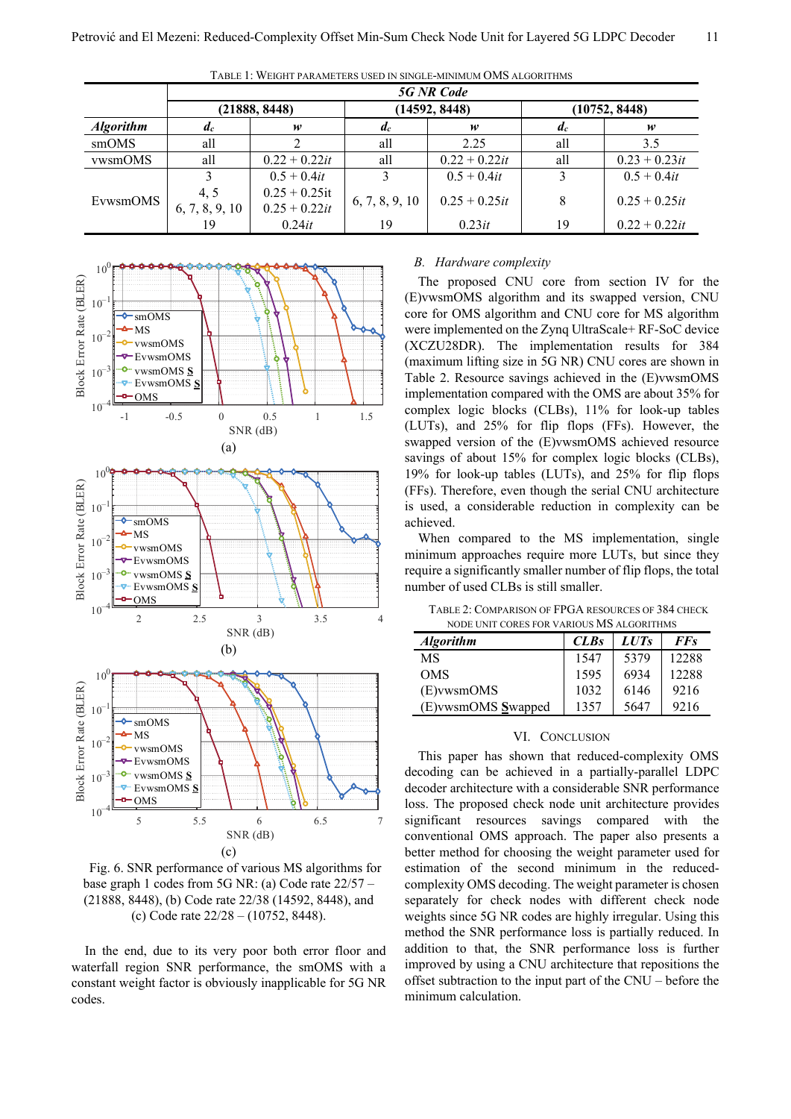|                  | <b>5G NR Code</b>     |                                     |                |                 |               |                 |
|------------------|-----------------------|-------------------------------------|----------------|-----------------|---------------|-----------------|
|                  |                       | (21888, 8448)                       | (14592, 8448)  |                 | (10752, 8448) |                 |
| <b>Algorithm</b> | $\mathfrak{a}_c$      | w                                   | $d_c$          | w               | $a_c$         | w               |
| smOMS            | all                   |                                     | all            | 2.25            | all           | 3.5             |
| <i>vwsmOMS</i>   | all                   | $0.22 + 0.22it$                     | all            | $0.22 + 0.22it$ | all           | $0.23 + 0.23it$ |
| EvwsmOMS         |                       | $0.5 + 0.4it$                       |                | $0.5 + 0.4it$   | 3             | $0.5 + 0.4it$   |
|                  | 4.5<br>6, 7, 8, 9, 10 | $0.25 + 0.25$ it<br>$0.25 + 0.22it$ | 6, 7, 8, 9, 10 | $0.25 + 0.25it$ | 8             | $0.25 + 0.25it$ |
|                  |                       | 0.24it                              | 19             | 0.23it          | 19            | $0.22 + 0.22it$ |

TABLE 1: WEIGHT PARAMETERS USED IN SINGLE-MINIMUM OMS ALGORITHMS



Fig. 6. SNR performance of various MS algorithms for base graph 1 codes from 5G NR: (a) Code rate 22/57 – (21888, 8448), (b) Code rate 22/38 (14592, 8448), and (c) Code rate 22/28 – (10752, 8448).

In the end, due to its very poor both error floor and waterfall region SNR performance, the smOMS with a constant weight factor is obviously inapplicable for 5G NR codes.

#### *B. Hardware complexity*

The proposed CNU core from section IV for the (E)vwsmOMS algorithm and its swapped version, CNU core for OMS algorithm and CNU core for MS algorithm were implemented on the Zynq UltraScale+ RF-SoC device (XCZU28DR). The implementation results for 384 (maximum lifting size in 5G NR) CNU cores are shown in Table 2. Resource savings achieved in the (E)vwsmOMS implementation compared with the OMS are about 35% for complex logic blocks (CLBs), 11% for look-up tables (LUTs), and 25% for flip flops (FFs). However, the swapped version of the (E)vwsmOMS achieved resource savings of about 15% for complex logic blocks (CLBs), 19% for look-up tables (LUTs), and 25% for flip flops (FFs). Therefore, even though the serial CNU architecture is used, a considerable reduction in complexity can be achieved.

When compared to the MS implementation, single minimum approaches require more LUTs, but since they require a significantly smaller number of flip flops, the total number of used CLBs is still smaller.

TABLE 2: COMPARISON OF FPGA RESOURCES OF 384 CHECK NODE UNIT CORES FOR VARIOUS MS ALGORITHMS

| <b>Algorithm</b>   | <b>CLBs</b> | LUT <sub>s</sub> | <b>FFs</b> |
|--------------------|-------------|------------------|------------|
| MS                 | 1547        | 5379             | 12288      |
| <b>OMS</b>         | 1595        | 6934             | 12288      |
| (E) vwsmOMS        | 1032        | 6146             | 9216       |
| (E) wsmOMS Swapped | 1357        | 5647             | 9216       |

## VI. CONCLUSION

This paper has shown that reduced-complexity OMS decoding can be achieved in a partially-parallel LDPC decoder architecture with a considerable SNR performance loss. The proposed check node unit architecture provides significant resources savings compared with the conventional OMS approach. The paper also presents a better method for choosing the weight parameter used for estimation of the second minimum in the reducedcomplexity OMS decoding. The weight parameter is chosen separately for check nodes with different check node weights since 5G NR codes are highly irregular. Using this method the SNR performance loss is partially reduced. In addition to that, the SNR performance loss is further improved by using a CNU architecture that repositions the offset subtraction to the input part of the CNU – before the minimum calculation.